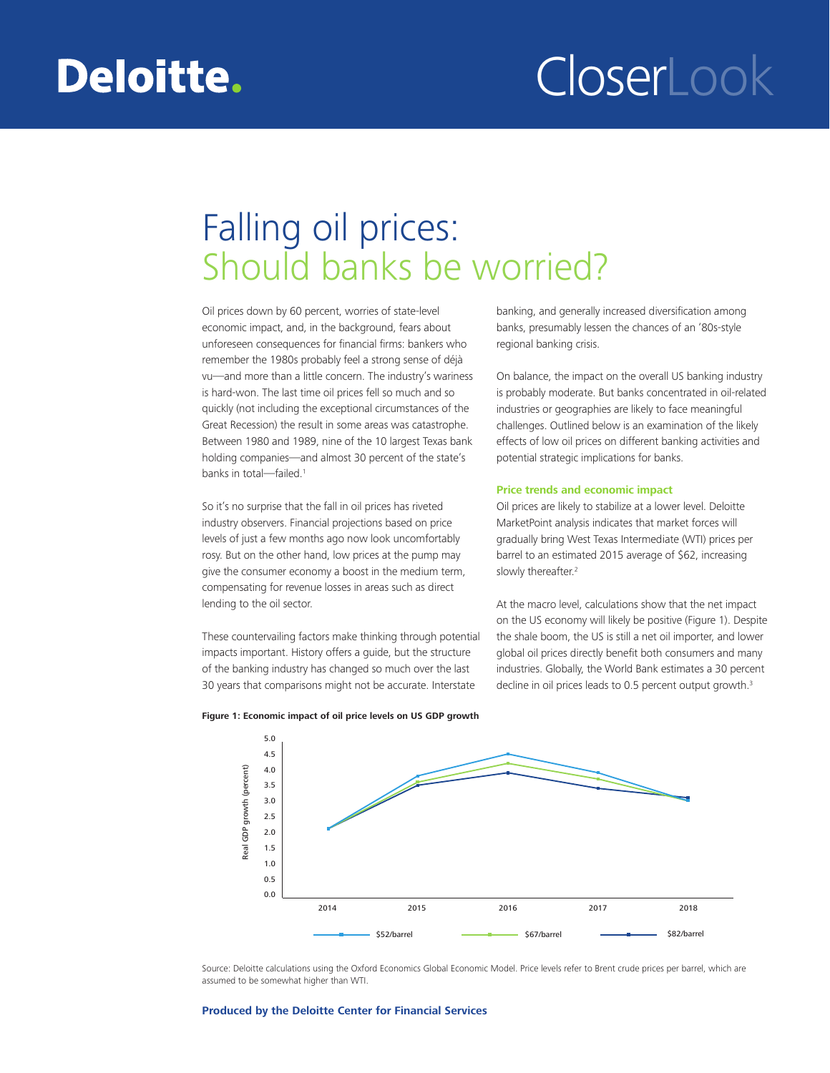## Deloitte.

# CloserLook

### Falling oil prices: Should banks be worried?

Oil prices down by 60 percent, worries of state-level economic impact, and, in the background, fears about unforeseen consequences for financial firms: bankers who remember the 1980s probably feel a strong sense of déjà vu—and more than a little concern. The industry's wariness is hard-won. The last time oil prices fell so much and so quickly (not including the exceptional circumstances of the Great Recession) the result in some areas was catastrophe. Between 1980 and 1989, nine of the 10 largest Texas bank holding companies—and almost 30 percent of the state's banks in total-failed.<sup>1</sup>

So it's no surprise that the fall in oil prices has riveted industry observers. Financial projections based on price levels of just a few months ago now look uncomfortably rosy. But on the other hand, low prices at the pump may give the consumer economy a boost in the medium term, compensating for revenue losses in areas such as direct lending to the oil sector.

These countervailing factors make thinking through potential impacts important. History offers a guide, but the structure of the banking industry has changed so much over the last 30 years that comparisons might not be accurate. Interstate

banking, and generally increased diversification among banks, presumably lessen the chances of an '80s-style regional banking crisis.

On balance, the impact on the overall US banking industry is probably moderate. But banks concentrated in oil-related industries or geographies are likely to face meaningful challenges. Outlined below is an examination of the likely effects of low oil prices on different banking activities and potential strategic implications for banks.

#### **Price trends and economic impact**

Oil prices are likely to stabilize at a lower level. Deloitte MarketPoint analysis indicates that market forces will gradually bring West Texas Intermediate (WTI) prices per barrel to an estimated 2015 average of \$62, increasing slowly thereafter.<sup>2</sup>

At the macro level, calculations show that the net impact on the US economy will likely be positive (Figure 1). Despite the shale boom, the US is still a net oil importer, and lower global oil prices directly benefit both consumers and many industries. Globally, the World Bank estimates a 30 percent decline in oil prices leads to 0.5 percent output growth.<sup>3</sup>



**Figure 1: Economic impact of oil price levels on US GDP growth**

Source: Deloitte calculations using the Oxford Economics Global Economic Model. Price levels refer to Brent crude prices per barrel, which are assumed to be somewhat higher than WTI.

#### **Produced by the Deloitte Center for Financial Services**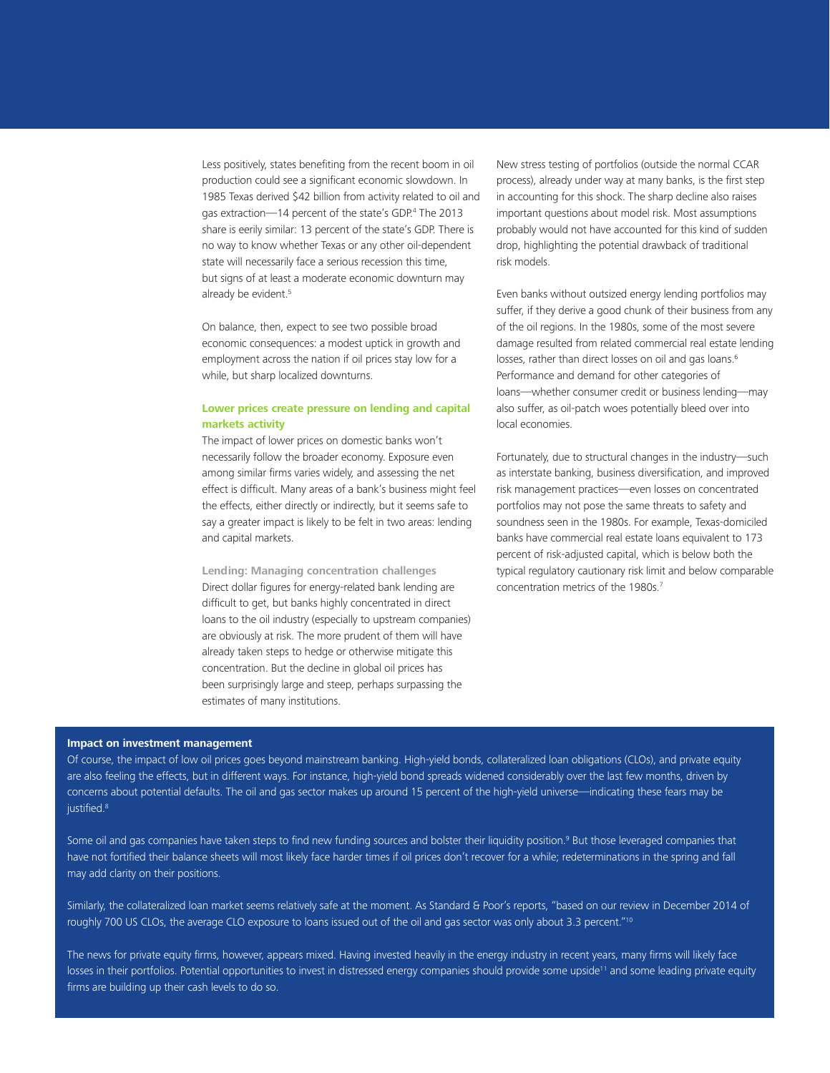Less positively, states benefiting from the recent boom in oil production could see a significant economic slowdown. In 1985 Texas derived \$42 billion from activity related to oil and gas extraction—14 percent of the state's GDP.<sup>4</sup> The 2013 share is eerily similar: 13 percent of the state's GDP. There is no way to know whether Texas or any other oil-dependent state will necessarily face a serious recession this time, but signs of at least a moderate economic downturn may already be evident.<sup>5</sup>

On balance, then, expect to see two possible broad economic consequences: a modest uptick in growth and employment across the nation if oil prices stay low for a while, but sharp localized downturns.

#### **Lower prices create pressure on lending and capital markets activity**

The impact of lower prices on domestic banks won't necessarily follow the broader economy. Exposure even among similar firms varies widely, and assessing the net effect is difficult. Many areas of a bank's business might feel the effects, either directly or indirectly, but it seems safe to say a greater impact is likely to be felt in two areas: lending and capital markets.

**Lending: Managing concentration challenges**  Direct dollar figures for energy-related bank lending are difficult to get, but banks highly concentrated in direct loans to the oil industry (especially to upstream companies) are obviously at risk. The more prudent of them will have already taken steps to hedge or otherwise mitigate this concentration. But the decline in global oil prices has been surprisingly large and steep, perhaps surpassing the estimates of many institutions.

New stress testing of portfolios (outside the normal CCAR process), already under way at many banks, is the first step in accounting for this shock. The sharp decline also raises important questions about model risk. Most assumptions probably would not have accounted for this kind of sudden drop, highlighting the potential drawback of traditional risk models.

Even banks without outsized energy lending portfolios may suffer, if they derive a good chunk of their business from any of the oil regions. In the 1980s, some of the most severe damage resulted from related commercial real estate lending losses, rather than direct losses on oil and gas loans.<sup>6</sup> Performance and demand for other categories of loans—whether consumer credit or business lending—may also suffer, as oil-patch woes potentially bleed over into local economies.

Fortunately, due to structural changes in the industry—such as interstate banking, business diversification, and improved risk management practices—even losses on concentrated portfolios may not pose the same threats to safety and soundness seen in the 1980s. For example, Texas-domiciled banks have commercial real estate loans equivalent to 173 percent of risk-adjusted capital, which is below both the typical regulatory cautionary risk limit and below comparable concentration metrics of the 1980s.<sup>7</sup>

#### **Impact on investment management**

Of course, the impact of low oil prices goes beyond mainstream banking. High-yield bonds, collateralized loan obligations (CLOs), and private equity are also feeling the effects, but in different ways. For instance, high-yield bond spreads widened considerably over the last few months, driven by concerns about potential defaults. The oil and gas sector makes up around 15 percent of the high-yield universe—indicating these fears may be justified.<sup>8</sup>

Some oil and gas companies have taken steps to find new funding sources and bolster their liquidity position.<sup>9</sup> But those leveraged companies that have not fortified their balance sheets will most likely face harder times if oil prices don't recover for a while; redeterminations in the spring and fall may add clarity on their positions.

Similarly, the collateralized loan market seems relatively safe at the moment. As Standard & Poor's reports, "based on our review in December 2014 of roughly 700 US CLOs, the average CLO exposure to loans issued out of the oil and gas sector was only about 3.3 percent."10

The news for private equity firms, however, appears mixed. Having invested heavily in the energy industry in recent years, many firms will likely face losses in their portfolios. Potential opportunities to invest in distressed energy companies should provide some upside<sup>11</sup> and some leading private equity firms are building up their cash levels to do so.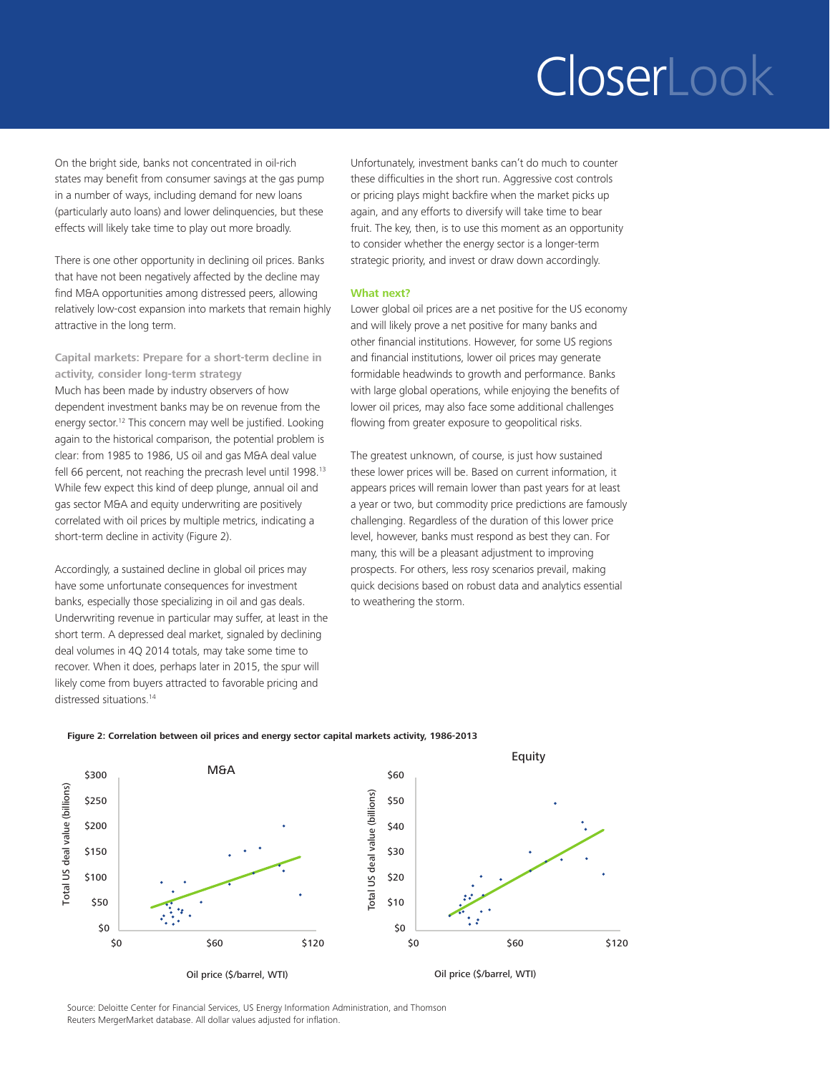## CloserLook

On the bright side, banks not concentrated in oil-rich states may benefit from consumer savings at the gas pump in a number of ways, including demand for new loans (particularly auto loans) and lower delinquencies, but these effects will likely take time to play out more broadly.

There is one other opportunity in declining oil prices. Banks that have not been negatively affected by the decline may find M&A opportunities among distressed peers, allowing relatively low-cost expansion into markets that remain highly attractive in the long term.

**Capital markets: Prepare for a short-term decline in activity, consider long-term strategy**  Much has been made by industry observers of how dependent investment banks may be on revenue from the energy sector.<sup>12</sup> This concern may well be justified. Looking again to the historical comparison, the potential problem is clear: from 1985 to 1986, US oil and gas M&A deal value fell 66 percent, not reaching the precrash level until 1998.<sup>13</sup> While few expect this kind of deep plunge, annual oil and gas sector M&A and equity underwriting are positively correlated with oil prices by multiple metrics, indicating a short-term decline in activity (Figure 2).

Accordingly, a sustained decline in global oil prices may have some unfortunate consequences for investment banks, especially those specializing in oil and gas deals. Underwriting revenue in particular may suffer, at least in the short term. A depressed deal market, signaled by declining deal volumes in 4Q 2014 totals, may take some time to recover. When it does, perhaps later in 2015, the spur will likely come from buyers attracted to favorable pricing and distressed situations.<sup>14</sup>

Unfortunately, investment banks can't do much to counter these difficulties in the short run. Aggressive cost controls or pricing plays might backfire when the market picks up again, and any efforts to diversify will take time to bear fruit. The key, then, is to use this moment as an opportunity to consider whether the energy sector is a longer-term strategic priority, and invest or draw down accordingly.

#### **What next?**

Lower global oil prices are a net positive for the US economy and will likely prove a net positive for many banks and other financial institutions. However, for some US regions and financial institutions, lower oil prices may generate formidable headwinds to growth and performance. Banks with large global operations, while enjoying the benefits of lower oil prices, may also face some additional challenges flowing from greater exposure to geopolitical risks.

The greatest unknown, of course, is just how sustained these lower prices will be. Based on current information, it appears prices will remain lower than past years for at least a year or two, but commodity price predictions are famously challenging. Regardless of the duration of this lower price level, however, banks must respond as best they can. For many, this will be a pleasant adjustment to improving prospects. For others, less rosy scenarios prevail, making quick decisions based on robust data and analytics essential to weathering the storm.



#### **Figure 2: Correlation between oil prices and energy sector capital markets activity, 1986-2013**

Source: Deloitte Center for Financial Services, US Energy Information Administration, and Thomson Reuters MergerMarket database. All dollar values adjusted for inflation.